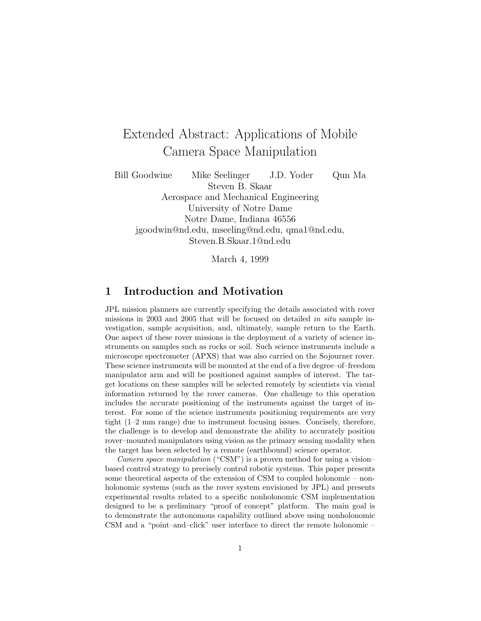# Extended Abstract: Applications of Mobile Camera Space Manipulation

Bill Goodwine Mike Seelinger J.D. Yoder Qun Ma Steven B. Skaar Aerospace and Mechanical Engineering University of Notre Dame Notre Dame, Indiana 46556 jgoodwin@nd.edu, mseeling@nd.edu, qma1@nd.edu, Steven.B.Skaar.1@nd.edu

March 4, 1999

#### **1 Introduction and Motivation**

JPL mission planners are currently specifying the details associated with rover missions in 2003 and 2005 that will be focused on detailed in situ sample investigation, sample acquisition, and, ultimately, sample return to the Earth. One aspect of these rover missions is the deployment of a variety of science instruments on samples such as rocks or soil. Such science instruments include a microscope spectrometer (APXS) that was also carried on the Sojourner rover. These science instruments will be mounted at the end of a five degree–of–freedom manipulator arm and will be positioned against samples of interest. The target locations on these samples will be selected remotely by scientists via visual information returned by the rover cameras. One challenge to this operation includes the accurate positioning of the instruments against the target of interest. For some of the science instruments positioning requirements are very tight (1–2 mm range) due to instrument focusing issues. Concisely, therefore, the challenge is to develop and demonstrate the ability to accurately position rover–mounted manipulators using vision as the primary sensing modality when the target has been selected by a remote (earthbound) science operator.

Camera space manipulation ("CSM") is a proven method for using a vision– based control strategy to precisely control robotic systems. This paper presents some theoretical aspects of the extension of CSM to coupled holonomic – nonholonomic systems (such as the rover system envisioned by JPL) and presents experimental results related to a specific nonholonomic CSM implementation designed to be a preliminary "proof of concept" platform. The main goal is to demonstrate the autonomous capability outlined above using nonholonomic CSM and a "point–and–click" user interface to direct the remote holonomic –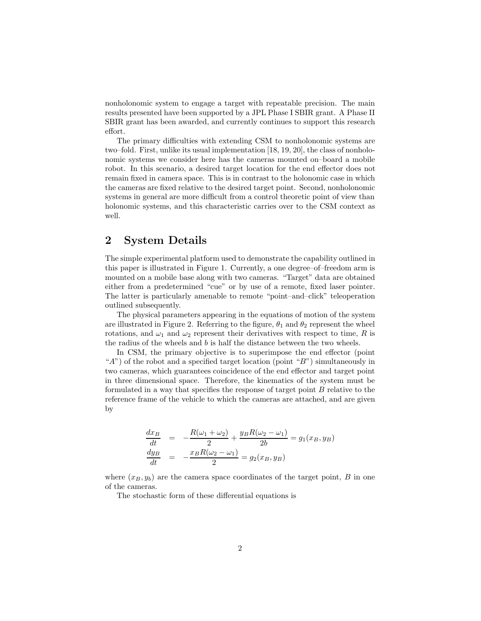nonholonomic system to engage a target with repeatable precision. The main results presented have been supported by a JPL Phase I SBIR grant. A Phase II SBIR grant has been awarded, and currently continues to support this research effort.

The primary difficulties with extending CSM to nonholonomic systems are two–fold. First, unlike its usual implementation [18, 19, 20], the class of nonholonomic systems we consider here has the cameras mounted on–board a mobile robot. In this scenario, a desired target location for the end effector does not remain fixed in camera space. This is in contrast to the holonomic case in which the cameras are fixed relative to the desired target point. Second, nonholonomic systems in general are more difficult from a control theoretic point of view than holonomic systems, and this characteristic carries over to the CSM context as well.

### **2 System Details**

The simple experimental platform used to demonstrate the capability outlined in this paper is illustrated in Figure 1. Currently, a one degree–of–freedom arm is mounted on a mobile base along with two cameras. "Target" data are obtained either from a predetermined "cue" or by use of a remote, fixed laser pointer. The latter is particularly amenable to remote "point–and–click" teleoperation outlined subsequently.

The physical parameters appearing in the equations of motion of the system are illustrated in Figure 2. Referring to the figure,  $\theta_1$  and  $\theta_2$  represent the wheel rotations, and  $\omega_1$  and  $\omega_2$  represent their derivatives with respect to time, R is the radius of the wheels and b is half the distance between the two wheels.

In CSM, the primary objective is to superimpose the end effector (point "A") of the robot and a specified target location (point "B") simultaneously in two cameras, which guarantees coincidence of the end effector and target point in three dimensional space. Therefore, the kinematics of the system must be formulated in a way that specifies the response of target point  $B$  relative to the reference frame of the vehicle to which the cameras are attached, and are given by

$$
\frac{dx_B}{dt} = -\frac{R(\omega_1 + \omega_2)}{2} + \frac{y_B R(\omega_2 - \omega_1)}{2b} = g_1(x_B, y_B)
$$
  

$$
\frac{dy_B}{dt} = -\frac{x_B R(\omega_2 - \omega_1)}{2} = g_2(x_B, y_B)
$$

where  $(x_B, y_b)$  are the camera space coordinates of the target point, B in one of the cameras.

The stochastic form of these differential equations is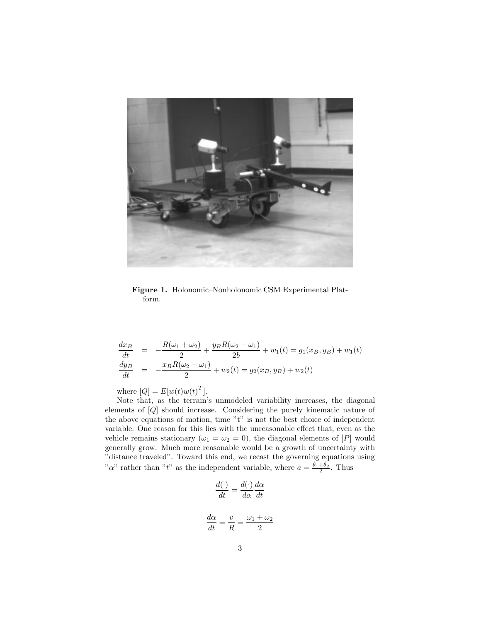

**Figure 1.** Holonomic–Nonholonomic CSM Experimental Platform.

$$
\frac{dx_B}{dt} = -\frac{R(\omega_1 + \omega_2)}{2} + \frac{y_B R(\omega_2 - \omega_1)}{2b} + w_1(t) = g_1(x_B, y_B) + w_1(t)
$$
\n
$$
\frac{dy_B}{dt} = -\frac{x_B R(\omega_2 - \omega_1)}{2} + w_2(t) = g_2(x_B, y_B) + w_2(t)
$$

where  $[Q] = E[w(t)w(t)^T]$ .

Note that, as the terrain's unmodeled variability increases, the diagonal elements of [Q] should increase. Considering the purely kinematic nature of the above equations of motion, time "t" is not the best choice of independent variable. One reason for this lies with the unreasonable effect that, even as the vehicle remains stationary ( $\omega_1 = \omega_2 = 0$ ), the diagonal elements of [P] would generally grow. Much more reasonable would be a growth of uncertainty with "distance traveled". Toward this end, we recast the governing equations using "a" rather than "t" as the independent variable, where  $\dot{a} = \frac{\dot{\theta}_1 + \dot{\theta}_2}{2}$ . Thus

$$
\frac{d(\cdot)}{dt} = \frac{d(\cdot)}{d\alpha} \frac{d\alpha}{dt}
$$

$$
\frac{d\alpha}{dt} = \frac{v}{R} = \frac{\omega_1 + \omega_2}{2}
$$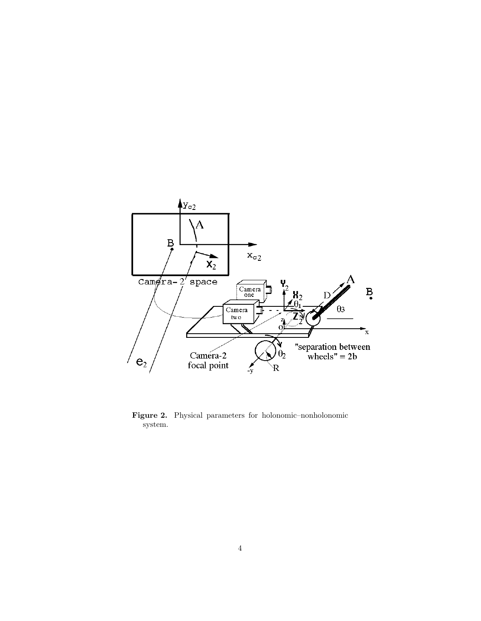

**Figure 2.** Physical parameters for holonomic–nonholonomic system.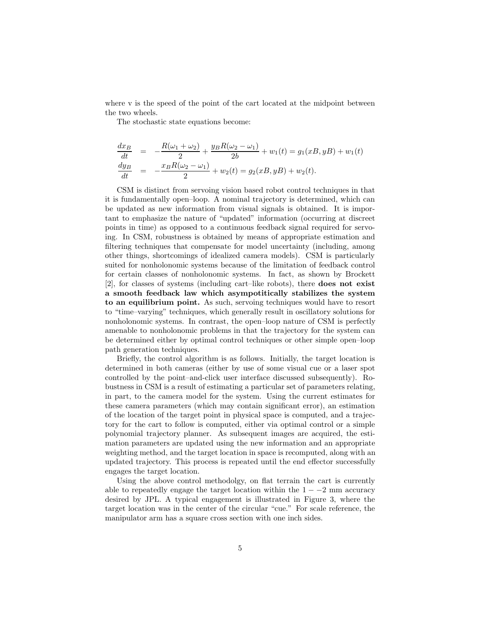where v is the speed of the point of the cart located at the midpoint between the two wheels.

The stochastic state equations become:

$$
\frac{dx_B}{dt} = -\frac{R(\omega_1 + \omega_2)}{2} + \frac{y_B R(\omega_2 - \omega_1)}{2b} + w_1(t) = g_1(xB, yB) + w_1(t)
$$
  
\n
$$
\frac{dy_B}{dt} = -\frac{x_B R(\omega_2 - \omega_1)}{2} + w_2(t) = g_2(xB, yB) + w_2(t).
$$

CSM is distinct from servoing vision based robot control techniques in that it is fundamentally open–loop. A nominal trajectory is determined, which can be updated as new information from visual signals is obtained. It is important to emphasize the nature of "updated" information (occurring at discreet points in time) as opposed to a continuous feedback signal required for servoing. In CSM, robustness is obtained by means of appropriate estimation and filtering techniques that compensate for model uncertainty (including, among other things, shortcomings of idealized camera models). CSM is particularly suited for nonholonomic systems because of the limitation of feedback control for certain classes of nonholonomic systems. In fact, as shown by Brockett [2], for classes of systems (including cart–like robots), there **does not exist a smooth feedback law which asympotitically stabilizes the system to an equilibrium point.** As such, servoing techniques would have to resort to "time–varying" techniques, which generally result in oscillatory solutions for nonholonomic systems. In contrast, the open–loop nature of CSM is perfectly amenable to nonholonomic problems in that the trajectory for the system can be determined either by optimal control techniques or other simple open–loop path generation techniques.

Briefly, the control algorithm is as follows. Initially, the target location is determined in both cameras (either by use of some visual cue or a laser spot controlled by the point–and-click user interface discussed subsequently). Robustness in CSM is a result of estimating a particular set of parameters relating, in part, to the camera model for the system. Using the current estimates for these camera parameters (which may contain significant error), an estimation of the location of the target point in physical space is computed, and a trajectory for the cart to follow is computed, either via optimal control or a simple polynomial trajectory planner. As subsequent images are acquired, the estimation parameters are updated using the new information and an appropriate weighting method, and the target location in space is recomputed, along with an updated trajectory. This process is repeated until the end effector successfully engages the target location.

Using the above control methodolgy, on flat terrain the cart is currently able to repeatedly engage the target location within the  $1 - -2$  mm accuracy desired by JPL. A typical engagement is illustrated in Figure 3, where the target location was in the center of the circular "cue." For scale reference, the manipulator arm has a square cross section with one inch sides.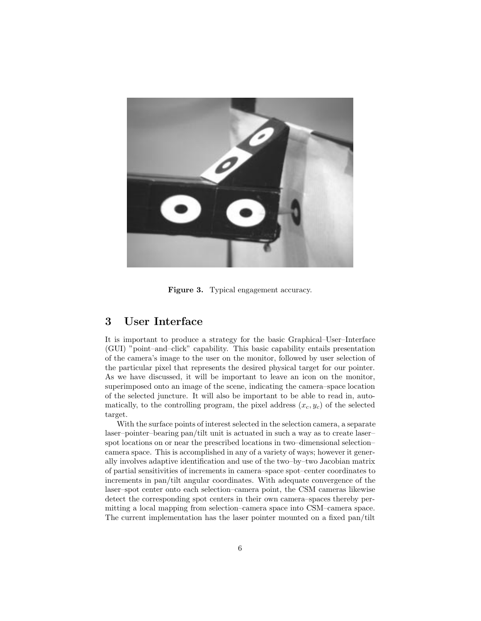

**Figure 3.** Typical engagement accuracy.

#### **3 User Interface**

It is important to produce a strategy for the basic Graphical–User–Interface (GUI) "point–and–click" capability. This basic capability entails presentation of the camera's image to the user on the monitor, followed by user selection of the particular pixel that represents the desired physical target for our pointer. As we have discussed, it will be important to leave an icon on the monitor, superimposed onto an image of the scene, indicating the camera–space location of the selected juncture. It will also be important to be able to read in, automatically, to the controlling program, the pixel address  $(x_c, y_c)$  of the selected target.

With the surface points of interest selected in the selection camera, a separate laser–pointer–bearing pan/tilt unit is actuated in such a way as to create laser– spot locations on or near the prescribed locations in two–dimensional selection– camera space. This is accomplished in any of a variety of ways; however it generally involves adaptive identification and use of the two–by–two Jacobian matrix of partial sensitivities of increments in camera–space spot–center coordinates to increments in pan/tilt angular coordinates. With adequate convergence of the laser–spot center onto each selection–camera point, the CSM cameras likewise detect the corresponding spot centers in their own camera–spaces thereby permitting a local mapping from selection–camera space into CSM–camera space. The current implementation has the laser pointer mounted on a fixed pan/tilt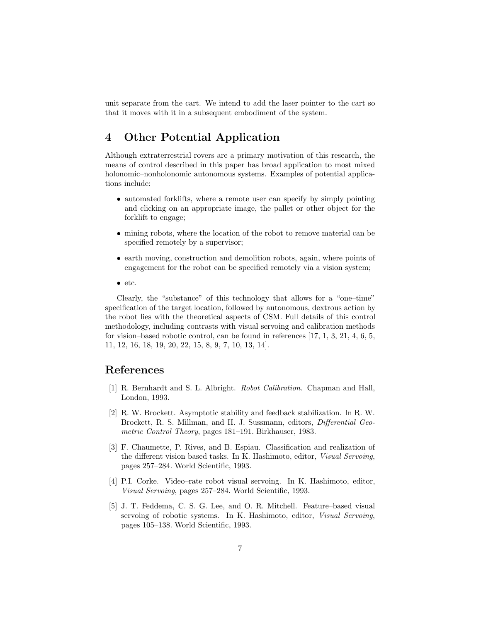unit separate from the cart. We intend to add the laser pointer to the cart so that it moves with it in a subsequent embodiment of the system.

## **4 Other Potential Application**

Although extraterrestrial rovers are a primary motivation of this research, the means of control described in this paper has broad application to most mixed holonomic–nonholonomic autonomous systems. Examples of potential applications include:

- automated forklifts, where a remote user can specify by simply pointing and clicking on an appropriate image, the pallet or other object for the forklift to engage;
- mining robots, where the location of the robot to remove material can be specified remotely by a supervisor;
- earth moving, construction and demolition robots, again, where points of engagement for the robot can be specified remotely via a vision system;
- etc.

Clearly, the "substance" of this technology that allows for a "one–time" specification of the target location, followed by autonomous, dextrous action by the robot lies with the theoretical aspects of CSM. Full details of this control methodology, including contrasts with visual servoing and calibration methods for vision–based robotic control, can be found in references [17, 1, 3, 21, 4, 6, 5, 11, 12, 16, 18, 19, 20, 22, 15, 8, 9, 7, 10, 13, 14].

#### **References**

- [1] R. Bernhardt and S. L. Albright. Robot Calibration. Chapman and Hall, London, 1993.
- [2] R. W. Brockett. Asymptotic stability and feedback stabilization. In R. W. Brockett, R. S. Millman, and H. J. Sussmann, editors, Differential Geometric Control Theory, pages 181–191. Birkhauser, 1983.
- [3] F. Chaumette, P. Rives, and B. Espiau. Classification and realization of the different vision based tasks. In K. Hashimoto, editor, Visual Servoing, pages 257–284. World Scientific, 1993.
- [4] P.I. Corke. Video–rate robot visual servoing. In K. Hashimoto, editor, Visual Servoing, pages 257–284. World Scientific, 1993.
- [5] J. T. Feddema, C. S. G. Lee, and O. R. Mitchell. Feature–based visual servoing of robotic systems. In K. Hashimoto, editor, Visual Servoing, pages 105–138. World Scientific, 1993.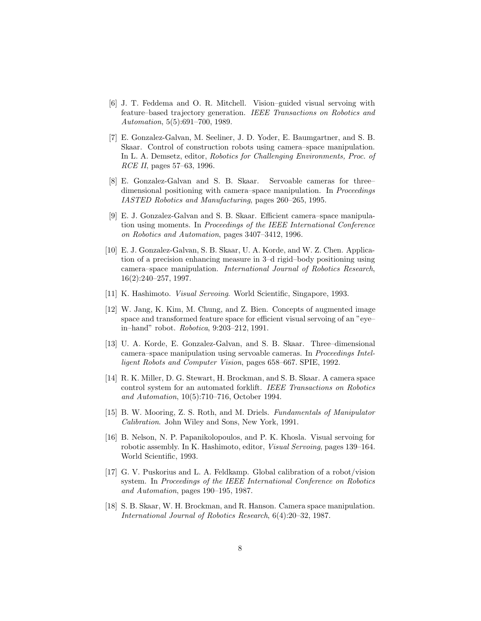- [6] J. T. Feddema and O. R. Mitchell. Vision–guided visual servoing with feature–based trajectory generation. IEEE Transactions on Robotics and Automation, 5(5):691–700, 1989.
- [7] E. Gonzalez-Galvan, M. Seeliner, J. D. Yoder, E. Baumgartner, and S. B. Skaar. Control of construction robots using camera–space manipulation. In L. A. Demsetz, editor, Robotics for Challenging Environments, Proc. of RCE II, pages 57–63, 1996.
- [8] E. Gonzalez-Galvan and S. B. Skaar. Servoable cameras for three– dimensional positioning with camera–space manipulation. In *Proceedings* IASTED Robotics and Manufacturing, pages 260–265, 1995.
- [9] E. J. Gonzalez-Galvan and S. B. Skaar. Efficient camera–space manipulation using moments. In Proceedings of the IEEE International Conference on Robotics and Automation, pages 3407–3412, 1996.
- [10] E. J. Gonzalez-Galvan, S. B. Skaar, U. A. Korde, and W. Z. Chen. Application of a precision enhancing measure in 3–d rigid–body positioning using camera–space manipulation. International Journal of Robotics Research, 16(2):240–257, 1997.
- [11] K. Hashimoto. *Visual Servoing*. World Scientific, Singapore, 1993.
- [12] W. Jang, K. Kim, M. Chung, and Z. Bien. Concepts of augmented image space and transformed feature space for efficient visual servoing of an "eye– in–hand" robot. Robotica, 9:203–212, 1991.
- [13] U. A. Korde, E. Gonzalez-Galvan, and S. B. Skaar. Three–dimensional camera–space manipulation using servoable cameras. In Proceedings Intelligent Robots and Computer Vision, pages 658–667. SPIE, 1992.
- [14] R. K. Miller, D. G. Stewart, H. Brockman, and S. B. Skaar. A camera space control system for an automated forklift. IEEE Transactions on Robotics and Automation, 10(5):710–716, October 1994.
- [15] B. W. Mooring, Z. S. Roth, and M. Driels. Fundamentals of Manipulator Calibration. John Wiley and Sons, New York, 1991.
- [16] B. Nelson, N. P. Papanikolopoulos, and P. K. Khosla. Visual servoing for robotic assembly. In K. Hashimoto, editor, Visual Servoing, pages 139–164. World Scientific, 1993.
- [17] G. V. Puskorius and L. A. Feldkamp. Global calibration of a robot/vision system. In Proceedings of the IEEE International Conference on Robotics and Automation, pages 190–195, 1987.
- [18] S. B. Skaar, W. H. Brockman, and R. Hanson. Camera space manipulation. International Journal of Robotics Research, 6(4):20–32, 1987.